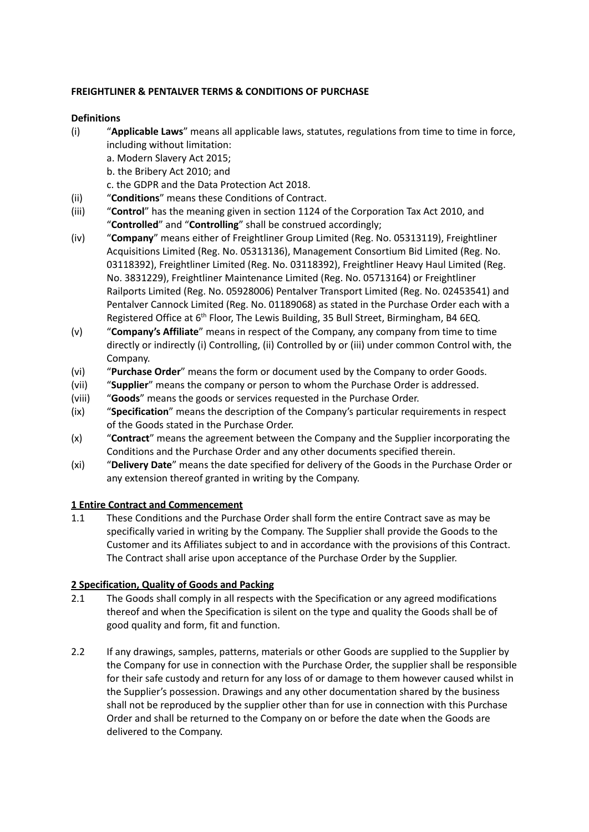## **FREIGHTLINER & PENTALVER TERMS & CONDITIONS OF PURCHASE**

### **Definitions**

(i) "**Applicable Laws**" means all applicable laws, statutes, regulations from time to time in force, including without limitation:

a. Modern Slavery Act 2015;

b. the Bribery Act 2010; and

c. the GDPR and the Data Protection Act 2018.

- (ii) "**Conditions**" means these Conditions of Contract.
- (iii) "**Control**" has the meaning given in section 1124 of the Corporation Tax Act 2010, and "**Controlled**" and "**Controlling**" shall be construed accordingly;
- (iv) "**Company**" means either of Freightliner Group Limited (Reg. No. 05313119), Freightliner Acquisitions Limited (Reg. No. 05313136), Management Consortium Bid Limited (Reg. No. 03118392), Freightliner Limited (Reg. No. 03118392), Freightliner Heavy Haul Limited (Reg. No. 3831229), Freightliner Maintenance Limited (Reg. No. 05713164) or Freightliner Railports Limited (Reg. No. 05928006) Pentalver Transport Limited (Reg. No. 02453541) and Pentalver Cannock Limited (Reg. No. 01189068) as stated in the Purchase Order each with a Registered Office at 6<sup>th</sup> Floor, The Lewis Building, 35 Bull Street, Birmingham, B4 6EQ.
- (v) "**Company's Affiliate**" means in respect of the Company, any company from time to time directly or indirectly (i) Controlling, (ii) Controlled by or (iii) under common Control with, the Company.
- (vi) "**Purchase Order**" means the form or document used by the Company to order Goods.
- (vii) "**Supplier**" means the company or person to whom the Purchase Order is addressed.
- (viii) "**Goods**" means the goods or services requested in the Purchase Order.
- (ix) "**Specification**" means the description of the Company's particular requirements in respect of the Goods stated in the Purchase Order.
- (x) "**Contract**" means the agreement between the Company and the Supplier incorporating the Conditions and the Purchase Order and any other documents specified therein.
- (xi) "**Delivery Date**" means the date specified for delivery of the Goods in the Purchase Order or any extension thereof granted in writing by the Company.

## **1 Entire Contract and Commencement**

1.1 These Conditions and the Purchase Order shall form the entire Contract save as may be specifically varied in writing by the Company. The Supplier shall provide the Goods to the Customer and its Affiliates subject to and in accordance with the provisions of this Contract. The Contract shall arise upon acceptance of the Purchase Order by the Supplier.

## **2 Specification, Quality of Goods and Packing**

- 2.1 The Goods shall comply in all respects with the Specification or any agreed modifications thereof and when the Specification is silent on the type and quality the Goods shall be of good quality and form, fit and function.
- 2.2 If any drawings, samples, patterns, materials or other Goods are supplied to the Supplier by the Company for use in connection with the Purchase Order, the supplier shall be responsible for their safe custody and return for any loss of or damage to them however caused whilst in the Supplier's possession. Drawings and any other documentation shared by the business shall not be reproduced by the supplier other than for use in connection with this Purchase Order and shall be returned to the Company on or before the date when the Goods are delivered to the Company.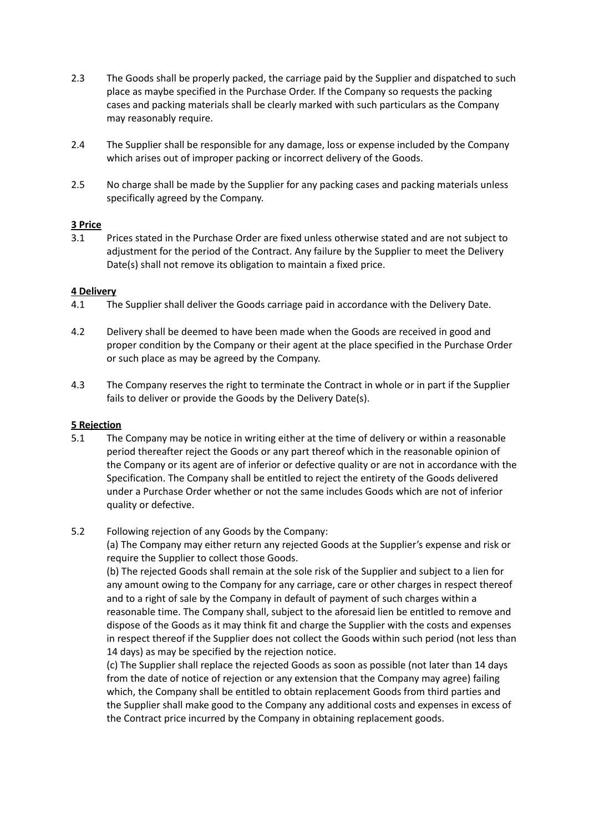- 2.3 The Goods shall be properly packed, the carriage paid by the Supplier and dispatched to such place as maybe specified in the Purchase Order. If the Company so requests the packing cases and packing materials shall be clearly marked with such particulars as the Company may reasonably require.
- 2.4 The Supplier shall be responsible for any damage, loss or expense included by the Company which arises out of improper packing or incorrect delivery of the Goods.
- 2.5 No charge shall be made by the Supplier for any packing cases and packing materials unless specifically agreed by the Company.

#### **3 Price**

3.1 Prices stated in the Purchase Order are fixed unless otherwise stated and are not subject to adjustment for the period of the Contract. Any failure by the Supplier to meet the Delivery Date(s) shall not remove its obligation to maintain a fixed price.

### **4 Delivery**

- 4.1 The Supplier shall deliver the Goods carriage paid in accordance with the Delivery Date.
- 4.2 Delivery shall be deemed to have been made when the Goods are received in good and proper condition by the Company or their agent at the place specified in the Purchase Order or such place as may be agreed by the Company.
- 4.3 The Company reserves the right to terminate the Contract in whole or in part if the Supplier fails to deliver or provide the Goods by the Delivery Date(s).

## **5 Rejection**

- 5.1 The Company may be notice in writing either at the time of delivery or within a reasonable period thereafter reject the Goods or any part thereof which in the reasonable opinion of the Company or its agent are of inferior or defective quality or are not in accordance with the Specification. The Company shall be entitled to reject the entirety of the Goods delivered under a Purchase Order whether or not the same includes Goods which are not of inferior quality or defective.
- 5.2 Following rejection of any Goods by the Company:

(a) The Company may either return any rejected Goods at the Supplier's expense and risk or require the Supplier to collect those Goods.

(b) The rejected Goods shall remain at the sole risk of the Supplier and subject to a lien for any amount owing to the Company for any carriage, care or other charges in respect thereof and to a right of sale by the Company in default of payment of such charges within a reasonable time. The Company shall, subject to the aforesaid lien be entitled to remove and dispose of the Goods as it may think fit and charge the Supplier with the costs and expenses in respect thereof if the Supplier does not collect the Goods within such period (not less than 14 days) as may be specified by the rejection notice.

(c) The Supplier shall replace the rejected Goods as soon as possible (not later than 14 days from the date of notice of rejection or any extension that the Company may agree) failing which, the Company shall be entitled to obtain replacement Goods from third parties and the Supplier shall make good to the Company any additional costs and expenses in excess of the Contract price incurred by the Company in obtaining replacement goods.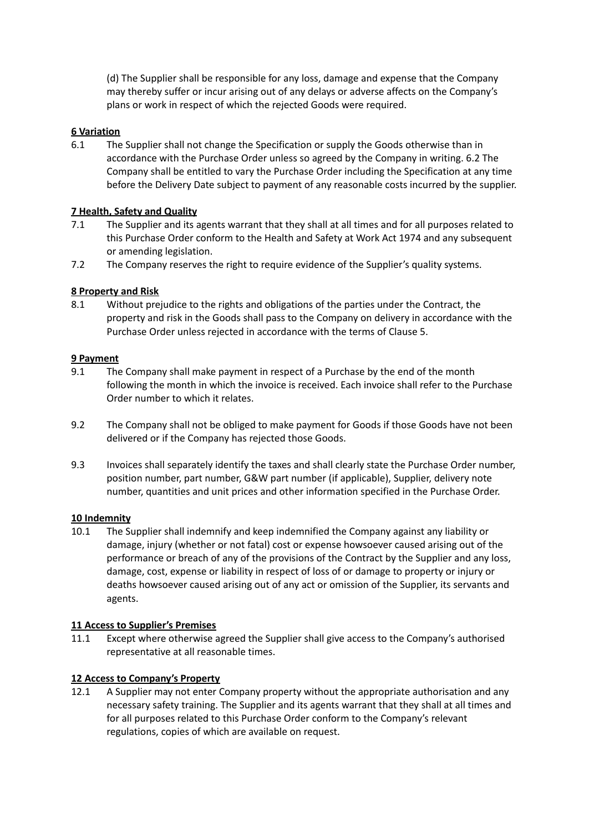(d) The Supplier shall be responsible for any loss, damage and expense that the Company may thereby suffer or incur arising out of any delays or adverse affects on the Company's plans or work in respect of which the rejected Goods were required.

# **6 Variation**

6.1 The Supplier shall not change the Specification or supply the Goods otherwise than in accordance with the Purchase Order unless so agreed by the Company in writing. 6.2 The Company shall be entitled to vary the Purchase Order including the Specification at any time before the Delivery Date subject to payment of any reasonable costs incurred by the supplier.

# **7 Health, Safety and Quality**

- 7.1 The Supplier and its agents warrant that they shall at all times and for all purposes related to this Purchase Order conform to the Health and Safety at Work Act 1974 and any subsequent or amending legislation.
- 7.2 The Company reserves the right to require evidence of the Supplier's quality systems.

# **8 Property and Risk**

8.1 Without prejudice to the rights and obligations of the parties under the Contract, the property and risk in the Goods shall pass to the Company on delivery in accordance with the Purchase Order unless rejected in accordance with the terms of Clause 5.

## **9 Payment**

- 9.1 The Company shall make payment in respect of a Purchase by the end of the month following the month in which the invoice is received. Each invoice shall refer to the Purchase Order number to which it relates.
- 9.2 The Company shall not be obliged to make payment for Goods if those Goods have not been delivered or if the Company has rejected those Goods.
- 9.3 Invoices shall separately identify the taxes and shall clearly state the Purchase Order number, position number, part number, G&W part number (if applicable), Supplier, delivery note number, quantities and unit prices and other information specified in the Purchase Order.

## **10 Indemnity**

10.1 The Supplier shall indemnify and keep indemnified the Company against any liability or damage, injury (whether or not fatal) cost or expense howsoever caused arising out of the performance or breach of any of the provisions of the Contract by the Supplier and any loss, damage, cost, expense or liability in respect of loss of or damage to property or injury or deaths howsoever caused arising out of any act or omission of the Supplier, its servants and agents.

## **11 Access to Supplier's Premises**

11.1 Except where otherwise agreed the Supplier shall give access to the Company's authorised representative at all reasonable times.

## **12 Access to Company's Property**

12.1 A Supplier may not enter Company property without the appropriate authorisation and any necessary safety training. The Supplier and its agents warrant that they shall at all times and for all purposes related to this Purchase Order conform to the Company's relevant regulations, copies of which are available on request.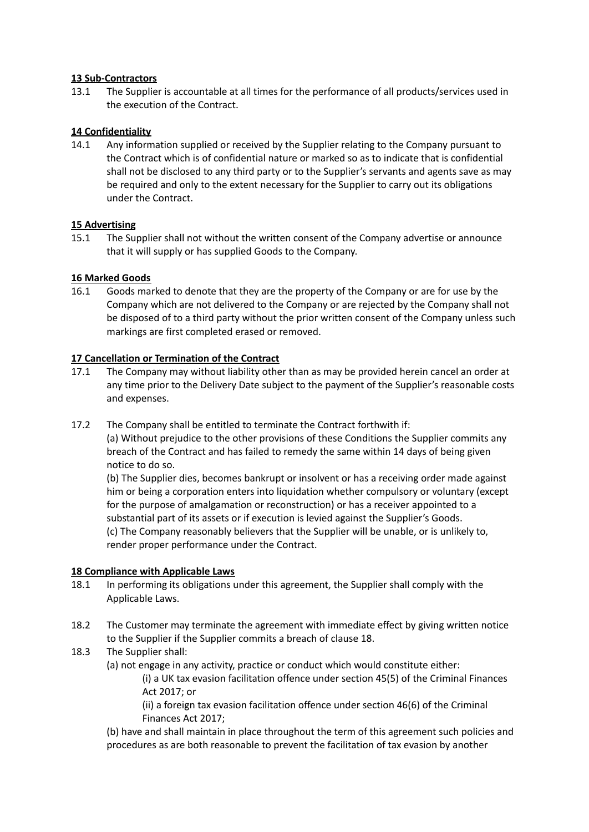### **13 Sub-Contractors**

13.1 The Supplier is accountable at all times for the performance of all products/services used in the execution of the Contract.

### **14 Confidentiality**

14.1 Any information supplied or received by the Supplier relating to the Company pursuant to the Contract which is of confidential nature or marked so as to indicate that is confidential shall not be disclosed to any third party or to the Supplier's servants and agents save as may be required and only to the extent necessary for the Supplier to carry out its obligations under the Contract.

### **15 Advertising**

15.1 The Supplier shall not without the written consent of the Company advertise or announce that it will supply or has supplied Goods to the Company.

### **16 Marked Goods**

16.1 Goods marked to denote that they are the property of the Company or are for use by the Company which are not delivered to the Company or are rejected by the Company shall not be disposed of to a third party without the prior written consent of the Company unless such markings are first completed erased or removed.

### **17 Cancellation or Termination of the Contract**

- 17.1 The Company may without liability other than as may be provided herein cancel an order at any time prior to the Delivery Date subject to the payment of the Supplier's reasonable costs and expenses.
- 17.2 The Company shall be entitled to terminate the Contract forthwith if: (a) Without prejudice to the other provisions of these Conditions the Supplier commits any breach of the Contract and has failed to remedy the same within 14 days of being given notice to do so.

(b) The Supplier dies, becomes bankrupt or insolvent or has a receiving order made against him or being a corporation enters into liquidation whether compulsory or voluntary (except for the purpose of amalgamation or reconstruction) or has a receiver appointed to a substantial part of its assets or if execution is levied against the Supplier's Goods. (c) The Company reasonably believers that the Supplier will be unable, or is unlikely to, render proper performance under the Contract.

#### **18 Compliance with Applicable Laws**

- 18.1 In performing its obligations under this agreement, the Supplier shall comply with the Applicable Laws.
- 18.2 The Customer may terminate the agreement with immediate effect by giving written notice to the Supplier if the Supplier commits a breach of clause 18.
- 18.3 The Supplier shall:

(a) not engage in any activity, practice or conduct which would constitute either:

(i) a UK tax evasion facilitation offence under section 45(5) of the Criminal Finances Act 2017; or

(ii) a foreign tax evasion facilitation offence under section 46(6) of the Criminal Finances Act 2017;

(b) have and shall maintain in place throughout the term of this agreement such policies and procedures as are both reasonable to prevent the facilitation of tax evasion by another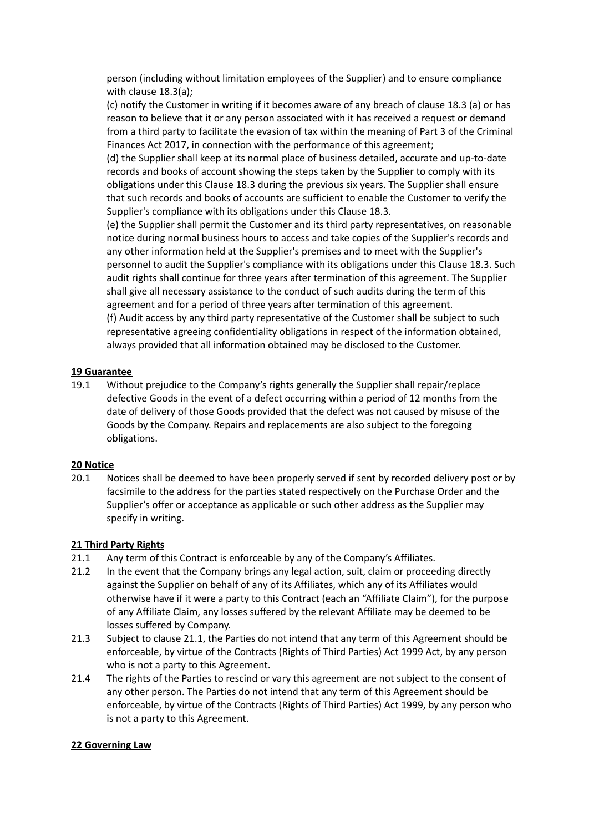person (including without limitation employees of the Supplier) and to ensure compliance with clause 18.3(a);

(c) notify the Customer in writing if it becomes aware of any breach of clause 18.3 (a) or has reason to believe that it or any person associated with it has received a request or demand from a third party to facilitate the evasion of tax within the meaning of Part 3 of the Criminal Finances Act 2017, in connection with the performance of this agreement;

(d) the Supplier shall keep at its normal place of business detailed, accurate and up-to-date records and books of account showing the steps taken by the Supplier to comply with its obligations under this Clause 18.3 during the previous six years. The Supplier shall ensure that such records and books of accounts are sufficient to enable the Customer to verify the Supplier's compliance with its obligations under this Clause 18.3.

(e) the Supplier shall permit the Customer and its third party representatives, on reasonable notice during normal business hours to access and take copies of the Supplier's records and any other information held at the Supplier's premises and to meet with the Supplier's personnel to audit the Supplier's compliance with its obligations under this Clause 18.3. Such audit rights shall continue for three years after termination of this agreement. The Supplier shall give all necessary assistance to the conduct of such audits during the term of this agreement and for a period of three years after termination of this agreement. (f) Audit access by any third party representative of the Customer shall be subject to such representative agreeing confidentiality obligations in respect of the information obtained, always provided that all information obtained may be disclosed to the Customer.

### **19 Guarantee**

19.1 Without prejudice to the Company's rights generally the Supplier shall repair/replace defective Goods in the event of a defect occurring within a period of 12 months from the date of delivery of those Goods provided that the defect was not caused by misuse of the Goods by the Company. Repairs and replacements are also subject to the foregoing obligations.

#### **20 Notice**

20.1 Notices shall be deemed to have been properly served if sent by recorded delivery post or by facsimile to the address for the parties stated respectively on the Purchase Order and the Supplier's offer or acceptance as applicable or such other address as the Supplier may specify in writing.

#### **21 Third Party Rights**

- 21.1 Any term of this Contract is enforceable by any of the Company's Affiliates.
- 21.2 In the event that the Company brings any legal action, suit, claim or proceeding directly against the Supplier on behalf of any of its Affiliates, which any of its Affiliates would otherwise have if it were a party to this Contract (each an "Affiliate Claim"), for the purpose of any Affiliate Claim, any losses suffered by the relevant Affiliate may be deemed to be losses suffered by Company.
- 21.3 Subject to clause 21.1, the Parties do not intend that any term of this Agreement should be enforceable, by virtue of the Contracts (Rights of Third Parties) Act 1999 Act, by any person who is not a party to this Agreement.
- 21.4 The rights of the Parties to rescind or vary this agreement are not subject to the consent of any other person. The Parties do not intend that any term of this Agreement should be enforceable, by virtue of the Contracts (Rights of Third Parties) Act 1999, by any person who is not a party to this Agreement.

#### **22 Governing Law**